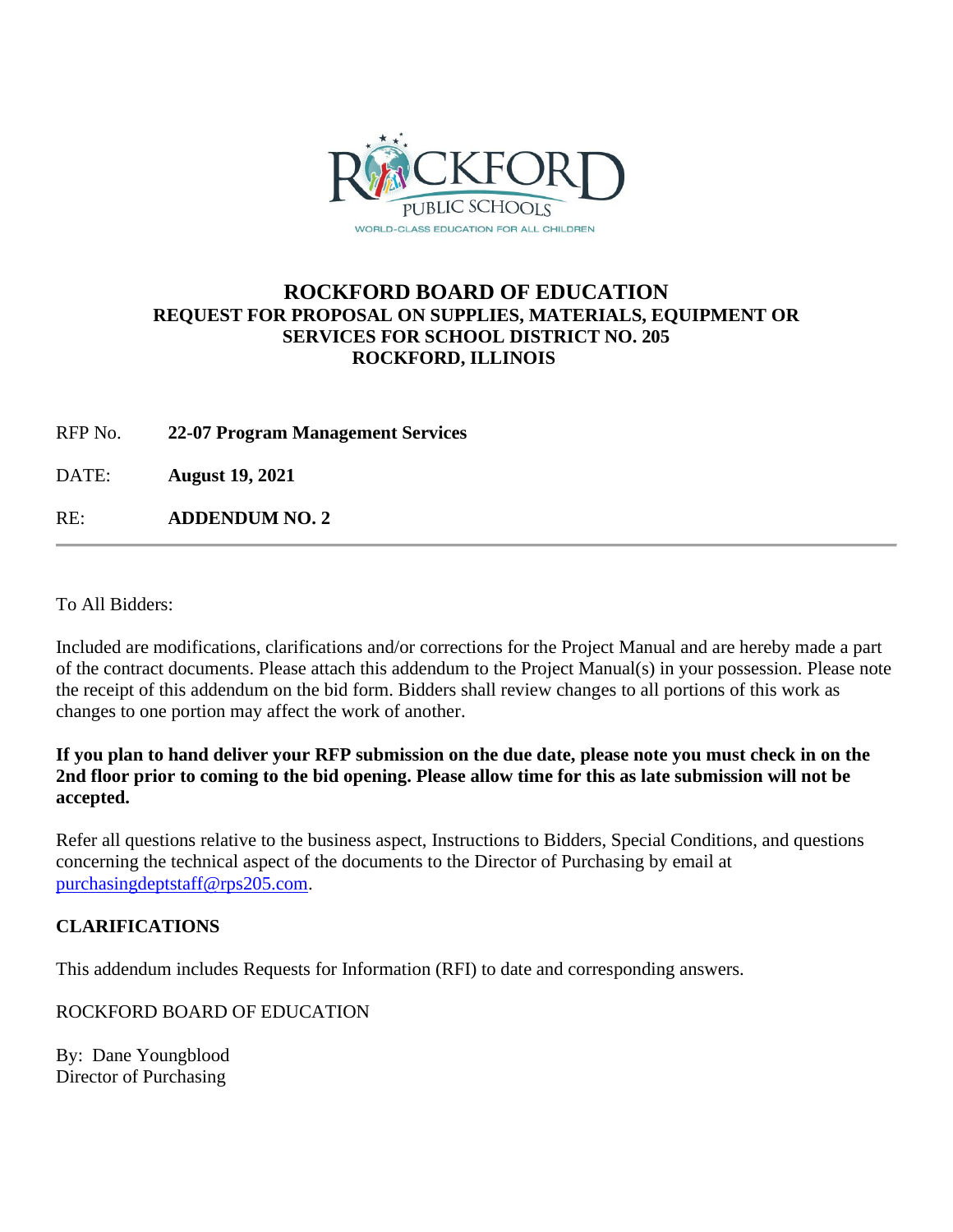

## **ROCKFORD BOARD OF EDUCATION REQUEST FOR PROPOSAL ON SUPPLIES, MATERIALS, EQUIPMENT OR SERVICES FOR SCHOOL DISTRICT NO. 205 ROCKFORD, ILLINOIS**

RFP No. **22-07 Program Management Services**

DATE: **August 19, 2021**

RE: **ADDENDUM NO. 2**

To All Bidders:

Included are modifications, clarifications and/or corrections for the Project Manual and are hereby made a part of the contract documents. Please attach this addendum to the Project Manual(s) in your possession. Please note the receipt of this addendum on the bid form. Bidders shall review changes to all portions of this work as changes to one portion may affect the work of another.

**If you plan to hand deliver your RFP submission on the due date, please note you must check in on the 2nd floor prior to coming to the bid opening. Please allow time for this as late submission will not be accepted.**

Refer all questions relative to the business aspect, Instructions to Bidders, Special Conditions, and questions concerning the technical aspect of the documents to the Director of Purchasing by email at [purchasingdeptstaff@rps205.com.](mailto:purchasingdeptstaff@rps205.com)

## **CLARIFICATIONS**

This addendum includes Requests for Information (RFI) to date and corresponding answers.

ROCKFORD BOARD OF EDUCATION

By: Dane Youngblood Director of Purchasing